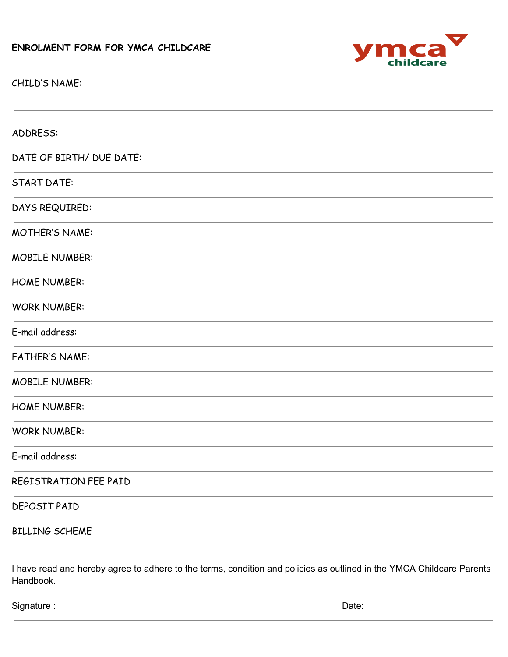## **ENROLMENT FORM FOR YMCA CHILDCARE**



CHILD'S NAME:

| ADDRESS:                 |
|--------------------------|
| DATE OF BIRTH/ DUE DATE: |
| <b>START DATE:</b>       |
| DAYS REQUIRED:           |
| MOTHER'S NAME:           |
| <b>MOBILE NUMBER:</b>    |
| <b>HOME NUMBER:</b>      |
| <b>WORK NUMBER:</b>      |
| E-mail address:          |
| <b>FATHER'S NAME:</b>    |
| <b>MOBILE NUMBER:</b>    |
| <b>HOME NUMBER:</b>      |
| <b>WORK NUMBER:</b>      |
| E-mail address:          |
| REGISTRATION FEE PAID    |
| DEPOSIT PAID             |
| <b>BILLING SCHEME</b>    |

I have read and hereby agree to adhere to the terms, condition and policies as outlined in the YMCA Childcare Parents Handbook.

Signature : Date: Date: Date: Date: Date: Date: Date: Date: Date: Date: Date: Date: Date: Date: Date: Date: Date: Date: Date: Date: Date: Date: Date: Date: Date: Date: Date: Date: Date: Date: Date: Date: Date: Date: Date: